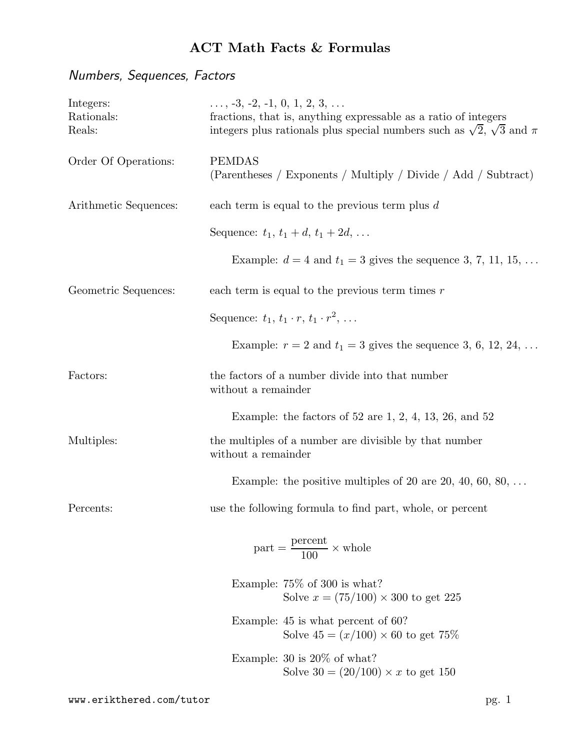# Numbers, Sequences, Factors

| Integers:<br>Rationals:<br>Reals: | $\ldots$ , -3, -2, -1, 0, 1, 2, 3, $\ldots$<br>fractions, that is, anything expressable as a ratio of integers<br>integers plus rationals plus special numbers such as $\sqrt{2}$ , $\sqrt{3}$ and $\pi$ |  |  |  |
|-----------------------------------|----------------------------------------------------------------------------------------------------------------------------------------------------------------------------------------------------------|--|--|--|
| Order Of Operations:              | <b>PEMDAS</b><br>(Parentheses / Exponents / Multiply / Divide / Add / Subtract)                                                                                                                          |  |  |  |
| Arithmetic Sequences:             | each term is equal to the previous term plus $d$                                                                                                                                                         |  |  |  |
|                                   | Sequence: $t_1, t_1 + d, t_1 + 2d, $                                                                                                                                                                     |  |  |  |
|                                   | Example: $d = 4$ and $t_1 = 3$ gives the sequence 3, 7, 11, 15,                                                                                                                                          |  |  |  |
| Geometric Sequences:              | each term is equal to the previous term times $r$                                                                                                                                                        |  |  |  |
|                                   | Sequence: $t_1, t_1 \cdot r, t_1 \cdot r^2, \ldots$                                                                                                                                                      |  |  |  |
|                                   | Example: $r = 2$ and $t_1 = 3$ gives the sequence 3, 6, 12, 24,                                                                                                                                          |  |  |  |
| Factors:                          | the factors of a number divide into that number<br>without a remainder                                                                                                                                   |  |  |  |
|                                   | Example: the factors of $52$ are $1, 2, 4, 13, 26,$ and $52$                                                                                                                                             |  |  |  |
| Multiples:                        | the multiples of a number are divisible by that number<br>without a remainder                                                                                                                            |  |  |  |
|                                   | Example: the positive multiples of 20 are 20, 40, 60, 80, $\dots$                                                                                                                                        |  |  |  |
| Percents:                         | use the following formula to find part, whole, or percent                                                                                                                                                |  |  |  |
|                                   | $part = \frac{percent}{100} \times whole$                                                                                                                                                                |  |  |  |
|                                   | Example: $75\%$ of 300 is what?<br>Solve $x = (75/100) \times 300$ to get 225                                                                                                                            |  |  |  |
|                                   | Example: $45$ is what percent of 60?<br>Solve $45 = (x/100) \times 60$ to get 75%                                                                                                                        |  |  |  |
|                                   | Example: $30$ is $20\%$ of what?<br>Solve $30 = (20/100) \times x$ to get 150                                                                                                                            |  |  |  |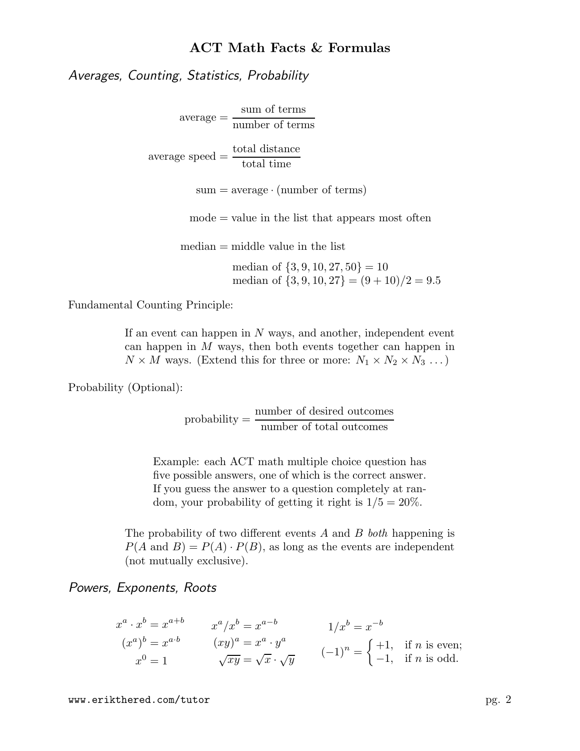Averages, Counting, Statistics, Probability

average = sum of terms number of terms

 $\text{average speed} = \frac{\text{total distance}}{1 + \frac{1}{2}}$ total time

 $sum = average \cdot (number \space of \space terms)$ 

 $mode = value$  in the list that appears most often

 $median = middle value$  in the list

median of  $\{3, 9, 10, 27, 50\} = 10$ median of  $\{3, 9, 10, 27\} = (9 + 10)/2 = 9.5$ 

Fundamental Counting Principle:

If an event can happen in  $N$  ways, and another, independent event can happen in M ways, then both events together can happen in  $N \times M$  ways. (Extend this for three or more:  $N_1 \times N_2 \times N_3 \dots$ )

Probability (Optional):

probability  $=\frac{\text{number of desired outcomes}}{1-\frac{c}{c}+\frac{1}{c}}$ number of total outcomes

Example: each ACT math multiple choice question has five possible answers, one of which is the correct answer. If you guess the answer to a question completely at random, your probability of getting it right is  $1/5 = 20\%$ .

The probability of two different events A and B both happening is  $P(A \text{ and } B) = P(A) \cdot P(B)$ , as long as the events are independent (not mutually exclusive).

Powers, Exponents, Roots

$$
x^{a} \cdot x^{b} = x^{a+b} \qquad x^{a}/x^{b} = x^{a-b} \qquad 1/x^{b} = x^{-b}
$$
  
\n
$$
(x^{a})^{b} = x^{a \cdot b} \qquad (xy)^{a} = x^{a} \cdot y^{a} \qquad (-1)^{n} = \begin{cases} +1, & \text{if } n \text{ is even;} \\ -1, & \text{if } n \text{ is odd.} \end{cases}
$$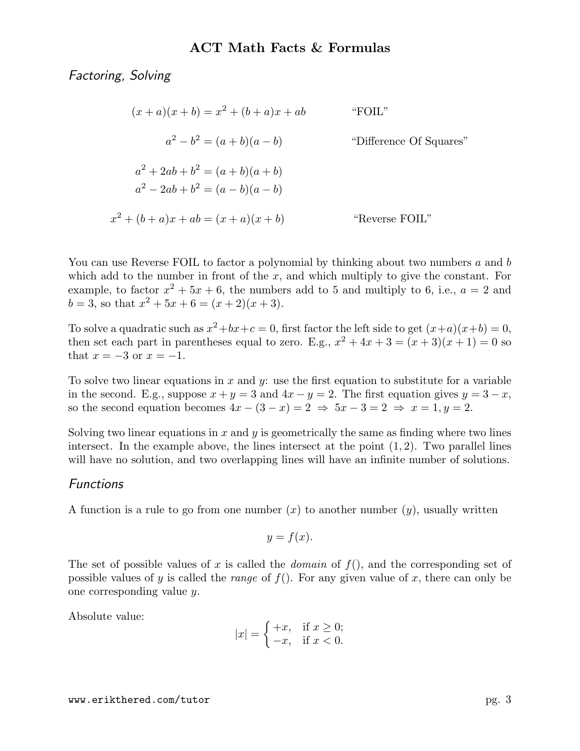Factoring, Solving

 $(x + a)(x + b) = x<sup>2</sup> + (b + a)x + ab$  "FOIL"  $a^2-b$ "Difference Of Squares"  $a^2 + 2ab + b^2 = (a + b)(a + b)$  $a^2 - 2ab + b^2 = (a - b)(a - b)$  $x^2 + (b + a)x + ab = (x + a)(x + b)$  "Reverse FOIL"

You can use Reverse FOIL to factor a polynomial by thinking about two numbers a and b which add to the number in front of the  $x$ , and which multiply to give the constant. For example, to factor  $x^2 + 5x + 6$ , the numbers add to 5 and multiply to 6, i.e.,  $a = 2$  and  $b = 3$ , so that  $x^2 + 5x + 6 = (x + 2)(x + 3)$ .

To solve a quadratic such as  $x^2+bx+c=0$ , first factor the left side to get  $(x+a)(x+b)=0$ , then set each part in parentheses equal to zero. E.g.,  $x^2 + 4x + 3 = (x+3)(x+1) = 0$  so that  $x = -3$  or  $x = -1$ .

To solve two linear equations in  $x$  and  $y$ : use the first equation to substitute for a variable in the second. E.g., suppose  $x + y = 3$  and  $4x - y = 2$ . The first equation gives  $y = 3 - x$ , so the second equation becomes  $4x - (3 - x) = 2 \Rightarrow 5x - 3 = 2 \Rightarrow x = 1, y = 2$ .

Solving two linear equations in x and y is geometrically the same as finding where two lines intersect. In the example above, the lines intersect at the point  $(1, 2)$ . Two parallel lines will have no solution, and two overlapping lines will have an infinite number of solutions.

## **Functions**

A function is a rule to go from one number  $(x)$  to another number  $(y)$ , usually written

$$
y = f(x).
$$

The set of possible values of x is called the *domain* of  $f()$ , and the corresponding set of possible values of y is called the *range* of  $f(.)$ . For any given value of x, there can only be one corresponding value y.

Absolute value:

$$
|x| = \begin{cases} +x, & \text{if } x \ge 0; \\ -x, & \text{if } x < 0. \end{cases}
$$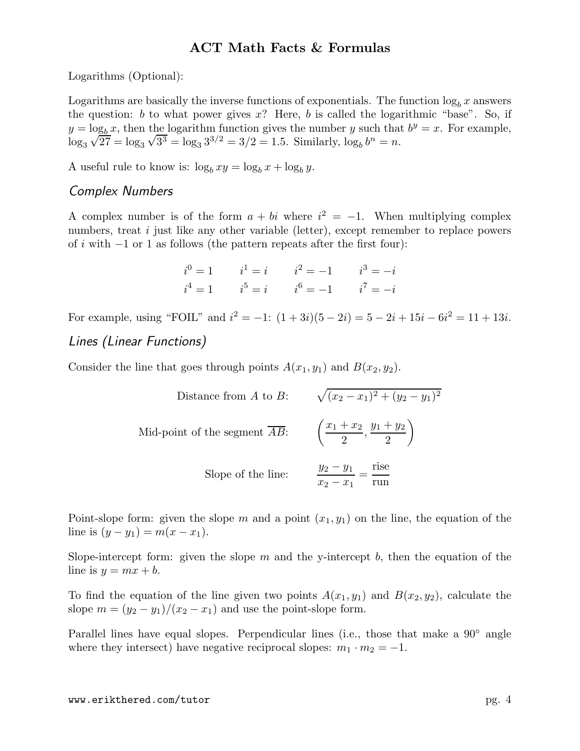Logarithms (Optional):

Logarithms are basically the inverse functions of exponentials. The function  $\log_b x$  answers the question: b to what power gives  $x$ ? Here, b is called the logarithmic "base". So, if  $y = \log_b x$ , then the logarithm function gives the number y such that  $b^y = x$ . For example,  $\log_3 \sqrt{27} = \log_3 \sqrt{3^3} = \log_3 3^{3/2} = 3/2 = 1.5$ . Similarly,  $\log_b b^n = n$ .

A useful rule to know is:  $\log_b xy = \log_b x + \log_b y$ .

#### Complex Numbers

A complex number is of the form  $a + bi$  where  $i^2 = -1$ . When multiplying complex numbers, treat *i* just like any other variable (letter), except remember to replace powers of i with  $-1$  or 1 as follows (the pattern repeats after the first four):

|  | $i^0 = 1$ $i^1 = i$ $i^2 = -1$ $i^3 = -i$ |  |
|--|-------------------------------------------|--|
|  | $i^4 = 1$ $i^5 = i$ $i^6 = -1$ $i^7 = -i$ |  |

For example, using "FOIL" and  $i^2 = -1$ :  $(1+3i)(5-2i) = 5-2i+15i-6i^2 = 11+13i$ .

#### Lines (Linear Functions)

Consider the line that goes through points  $A(x_1, y_1)$  and  $B(x_2, y_2)$ .

Distance from *A* to *B*: 
$$
\sqrt{(x_2 - x_1)^2 + (y_2 - y_1)^2}
$$
  
Mid-point of the segment  $\overline{AB}$ : 
$$
\left(\frac{x_1 + x_2}{2}, \frac{y_1 + y_2}{2}\right)
$$
  
Slope of the line: 
$$
\frac{y_2 - y_1}{x_2 - x_1} = \frac{\text{rise}}{\text{run}}
$$

Point-slope form: given the slope m and a point  $(x_1, y_1)$  on the line, the equation of the line is  $(y - y_1) = m(x - x_1)$ .

Slope-intercept form: given the slope  $m$  and the y-intercept  $b$ , then the equation of the line is  $y = mx + b$ .

To find the equation of the line given two points  $A(x_1, y_1)$  and  $B(x_2, y_2)$ , calculate the slope  $m = (y_2 - y_1)/(x_2 - x_1)$  and use the point-slope form.

Parallel lines have equal slopes. Perpendicular lines (i.e., those that make a 90◦ angle where they intersect) have negative reciprocal slopes:  $m_1 \cdot m_2 = -1$ .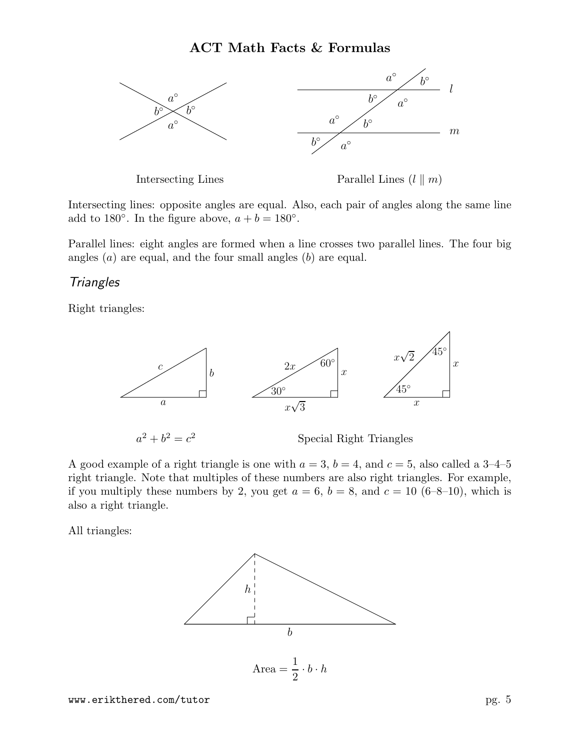

Intersecting lines: opposite angles are equal. Also, each pair of angles along the same line add to 180°. In the figure above,  $a + b = 180^\circ$ .

Parallel lines: eight angles are formed when a line crosses two parallel lines. The four big angles  $(a)$  are equal, and the four small angles  $(b)$  are equal.

#### **Triangles**

Right triangles:



 $a^2 + b^2 = c$ 

<sup>2</sup> Special Right Triangles

A good example of a right triangle is one with  $a = 3$ ,  $b = 4$ , and  $c = 5$ , also called a 3-4-5 right triangle. Note that multiples of these numbers are also right triangles. For example, if you multiply these numbers by 2, you get  $a = 6$ ,  $b = 8$ , and  $c = 10$  (6-8–10), which is also a right triangle.

All triangles:

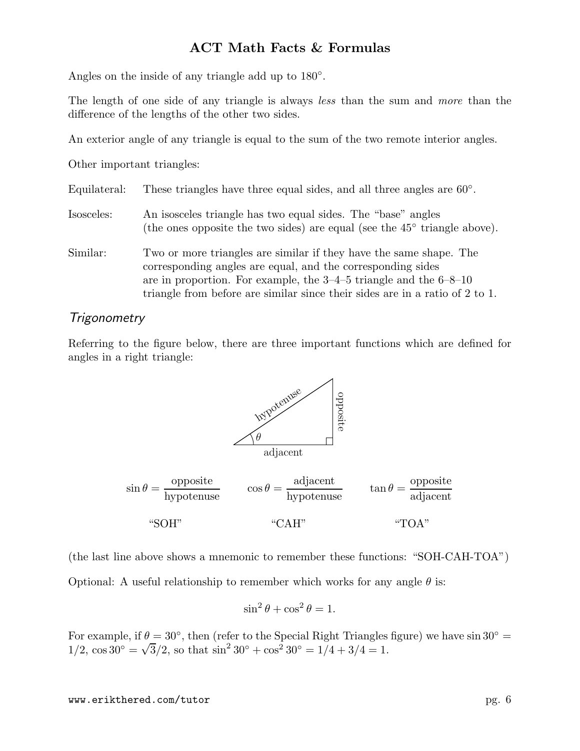Angles on the inside of any triangle add up to  $180^\circ$ .

The length of one side of any triangle is always less than the sum and more than the difference of the lengths of the other two sides.

An exterior angle of any triangle is equal to the sum of the two remote interior angles.

Other important triangles:

| Equilateral: |  | These triangles have three equal sides, and all three angles are $60^{\circ}$ . |
|--------------|--|---------------------------------------------------------------------------------|
|              |  |                                                                                 |

- Isosceles: An isosceles triangle has two equal sides. The "base" angles (the ones opposite the two sides) are equal (see the  $45^{\circ}$  triangle above).
- Similar: Two or more triangles are similar if they have the same shape. The corresponding angles are equal, and the corresponding sides are in proportion. For example, the 3–4–5 triangle and the 6–8–10 triangle from before are similar since their sides are in a ratio of 2 to 1.

#### **Trigonometry**

Referring to the figure below, there are three important functions which are defined for angles in a right triangle:



 $\sin \theta =$ opposite hypotenuse "SOH"  $\cos \theta =$ adjacent hypotenuse "CAH"  $\tan \theta =$ opposite adjacent "TOA"

(the last line above shows a mnemonic to remember these functions: "SOH-CAH-TOA") Optional: A useful relationship to remember which works for any angle  $\theta$  is:

$$
\sin^2\theta + \cos^2\theta = 1.
$$

For example, if  $\theta = 30^{\circ}$ , then (refer to the Special Right Triangles figure) we have sin 30<sup>°</sup> =  $1/2$ ,  $\cos 30° = \sqrt{3}/2$ , so that  $\sin^2 30° + \cos^2 30° = 1/4 + 3/4 = 1$ .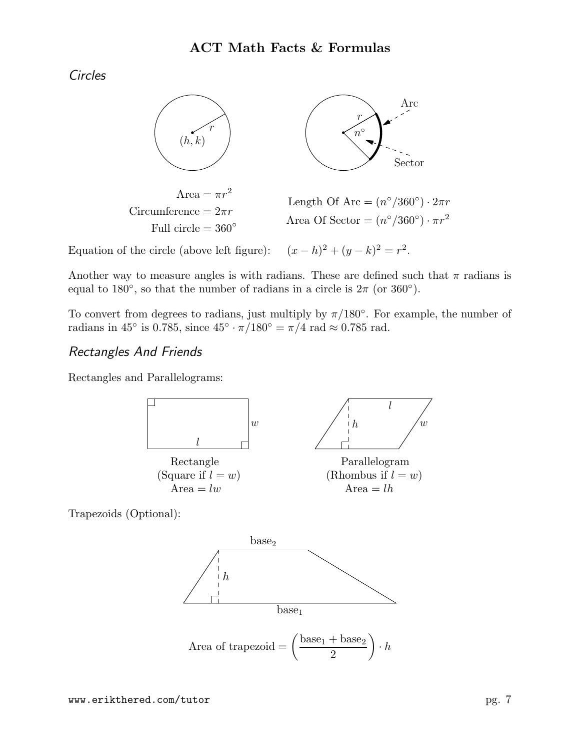Circles



Equation of the circle (above left figure):  $x^2 + (y - k)^2 = r^2$ .

Another way to measure angles is with radians. These are defined such that  $\pi$  radians is equal to 180<sup>°</sup>, so that the number of radians in a circle is  $2\pi$  (or 360<sup>°</sup>).

To convert from degrees to radians, just multiply by  $\pi/180^{\circ}$ . For example, the number of radians in 45<sup>°</sup> is 0.785, since  $45^\circ \cdot \pi/180^\circ = \pi/4$  rad  $\approx 0.785$  rad.

# Rectangles And Friends

Rectangles and Parallelograms:



Trapezoids (Optional):